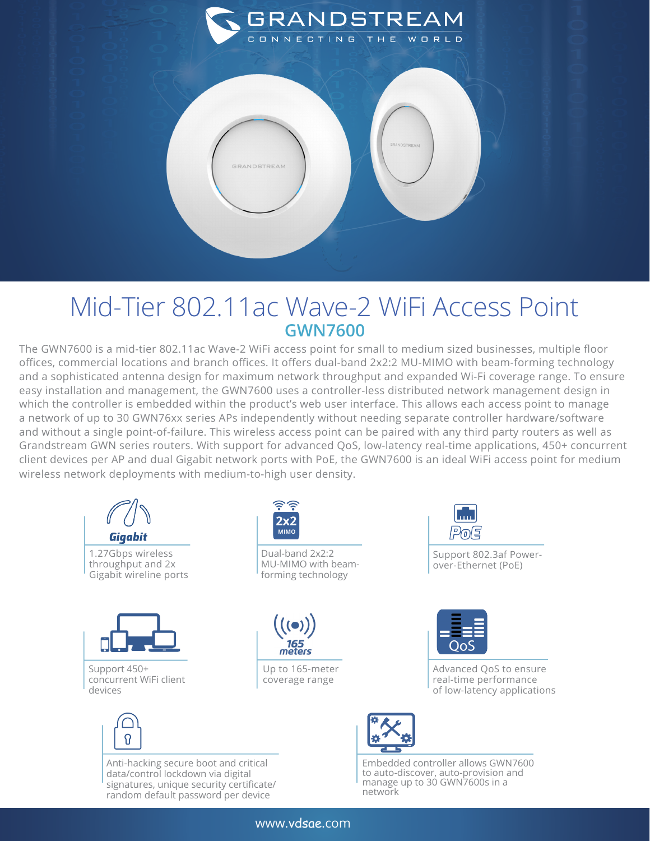

## Mid-Tier 802.11ac Wave-2 WiFi Access Point **GWN7600**

The GWN7600 is a mid-tier 802.11ac Wave-2 WiFi access point for small to medium sized businesses, multiple floor offices, commercial locations and branch offices. It offers dual-band 2x2:2 MU-MIMO with beam-forming technology and a sophisticated antenna design for maximum network throughput and expanded Wi-Fi coverage range. To ensure easy installation and management, the GWN7600 uses a controller-less distributed network management design in which the controller is embedded within the product's web user interface. This allows each access point to manage a network of up to 30 GWN76xx series APs independently without needing separate controller hardware/software and without a single point-of-failure. This wireless access point can be paired with any third party routers as well as Grandstream GWN series routers. With support for advanced QoS, low-latency real-time applications, 450+ concurrent client devices per AP and dual Gigabit network ports with PoE, the GWN7600 is an ideal WiFi access point for medium wireless network deployments with medium-to-high user density.



www.vdsae.com